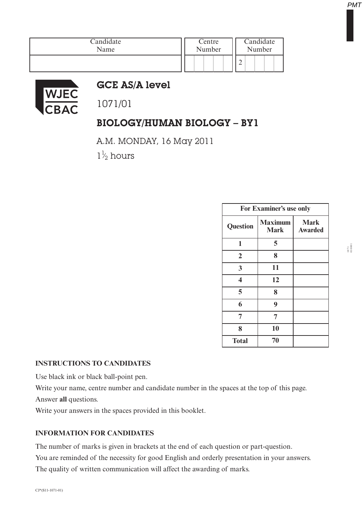|  | Centre<br>Number |  |  |  | Candidate<br>Number |  |  |  |  |  |
|--|------------------|--|--|--|---------------------|--|--|--|--|--|
|  |                  |  |  |  |                     |  |  |  |  |  |



## GCE AS/A level

1071/01

# BIOLOGY/HUMAN BIOLOGY – BY1

A.M. MONDAY, 16 May 2011

 $1\frac{1}{2}$  hours ⁄

| For Examiner's use only |                               |                               |  |  |  |
|-------------------------|-------------------------------|-------------------------------|--|--|--|
| <b>Question</b>         | <b>Maximum</b><br><b>Mark</b> | <b>Mark</b><br><b>Awarded</b> |  |  |  |
| 1                       | 5                             |                               |  |  |  |
| $\overline{2}$          | 8                             |                               |  |  |  |
| 3                       | 11                            |                               |  |  |  |
| $\overline{\mathbf{4}}$ | 12                            |                               |  |  |  |
| 5                       | 8                             |                               |  |  |  |
| 6                       | 9                             |                               |  |  |  |
| 7                       | 7                             |                               |  |  |  |
| 8                       | 10                            |                               |  |  |  |
| <b>Total</b>            | 70                            |                               |  |  |  |

#### **INSTRUCTIONS TO CANDIDATES**

Use black ink or black ball-point pen.

Write your name, centre number and candidate number in the spaces at the top of this page.

Answer **all** questions.

Write your answers in the spaces provided in this booklet.

### **INFORMATION FOR CANDIDATES**

The number of marks is given in brackets at the end of each question or part-question.

You are reminded of the necessity for good English and orderly presentation in your answers. The quality of written communication will affect the awarding of marks.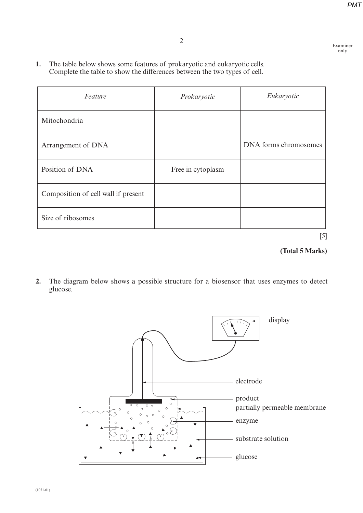Examiner only

**1.** The table below shows some features of prokaryotic and eukaryotic cells. Complete the table to show the differences between the two types of cell.

| Feature                             | Prokaryotic       | Eukaryotic            |
|-------------------------------------|-------------------|-----------------------|
| Mitochondria                        |                   |                       |
| Arrangement of DNA                  |                   | DNA forms chromosomes |
| Position of DNA                     | Free in cytoplasm |                       |
| Composition of cell wall if present |                   |                       |
| Size of ribosomes                   |                   |                       |

[5]

### **(Total 5 Marks)**

**2.** The diagram below shows a possible structure for a biosensor that uses enzymes to detect glucose.

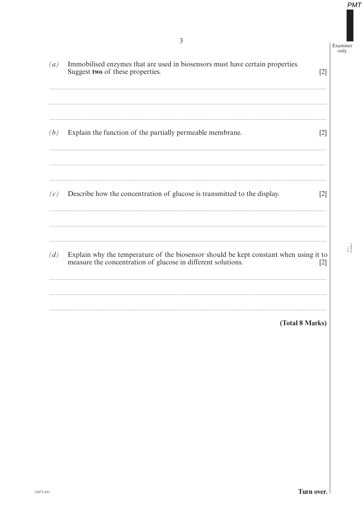Examiner<br>only

| (a) | Immobilised enzymes that are used in biosensors must have certain properties.<br>Suggest two of these properties.                                     | $[2]$ |
|-----|-------------------------------------------------------------------------------------------------------------------------------------------------------|-------|
| (b) | Explain the function of the partially permeable membrane.                                                                                             | $[2]$ |
| (c) | Describe how the concentration of glucose is transmitted to the display.                                                                              | $[2]$ |
| (d) | Explain why the temperature of the biosensor should be kept constant when using it to<br>measure the concentration of glucose in different solutions. | $[2]$ |
|     | (Total 8 Marks)                                                                                                                                       |       |

 $\frac{1071}{010003}$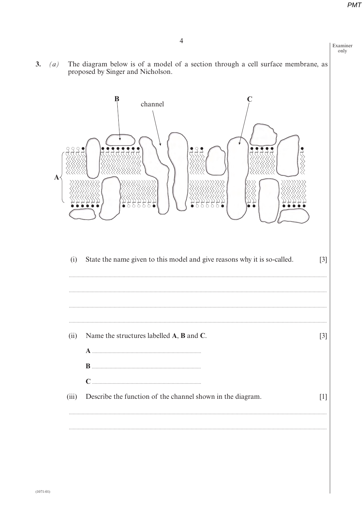Examiner only

The diagram below is of a model of a section through a cell surface membrane, as 3.  $(a)$ proposed by Singer and Nicholson.

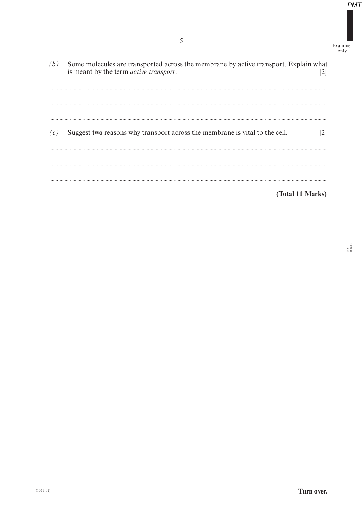Examiner  $\frac{\text{only}}{\text{only}}$ 

Some molecules are transported across the membrane by active transport. Explain what is meant by the term *active transport*. [2]  $(b)$ Suggest two reasons why transport across the membrane is vital to the cell.  $[2]$  $(c)$ (Total 11 Marks)

 $1071$ <br> $010005$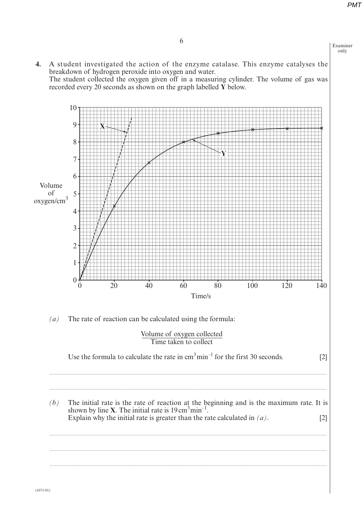Examiner only

**4.** A student investigated the action of the enzyme catalase. This enzyme catalyses the breakdown of hydrogen peroxide into oxygen and water. The student collected the oxygen given off in a measuring cylinder. The volume of gas was recorded every 20 seconds as shown on the graph labelled **Y** below.

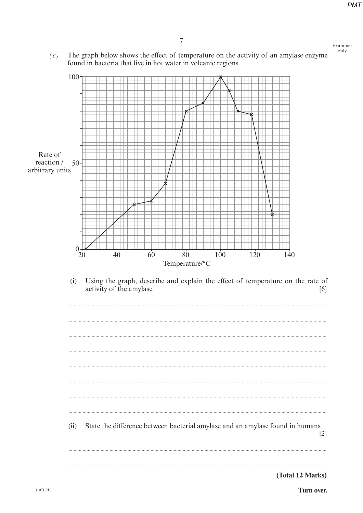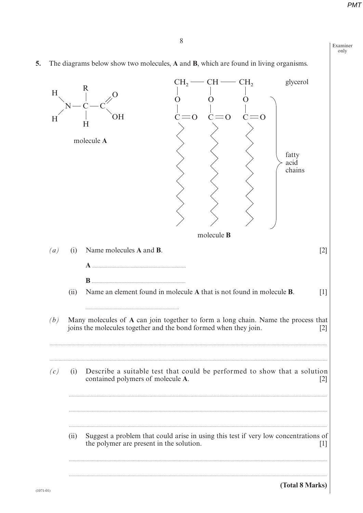Examiner only

The diagrams below show two molecules, A and B, which are found in living organisms. 5.

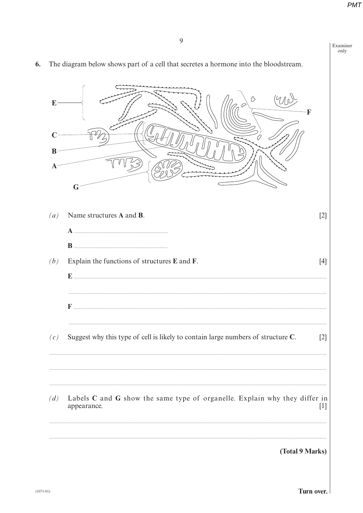|                                  | У                                                                                         |       |
|----------------------------------|-------------------------------------------------------------------------------------------|-------|
|                                  | The diagram below shows part of a cell that secretes a hormone into the bloodstream.      |       |
| E<br>B<br>$\boldsymbol{\Lambda}$ | $\Diamond$<br>F                                                                           |       |
|                                  | G                                                                                         |       |
| (a)                              | Name structures A and B.                                                                  | $[2]$ |
|                                  |                                                                                           |       |
| (b)                              | Explain the functions of structures E and F.                                              | $[4]$ |
|                                  |                                                                                           |       |
|                                  |                                                                                           |       |
| (c)                              | Suggest why this type of cell is likely to contain large numbers of structure C.          | $[2]$ |
| (d)                              | Labels C and G show the same type of organelle. Explain why they differ in<br>appearance. | $[1]$ |
|                                  | (Total 9 Marks)                                                                           |       |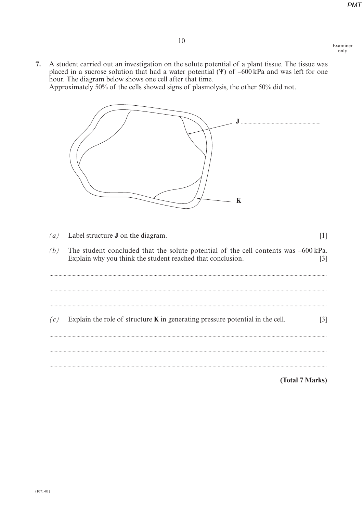Examiner only

7. A student carried out an investigation on the solute potential of a plant tissue. The tissue was placed in a sucrose solution that had a water potential  $(\Psi)$  of  $-600$  kPa and was left for one hour. The diagram below shows one cell after that time. Approximately 50% of the cells showed signs of plasmolysis, the other 50% did not.



(Total 7 Marks)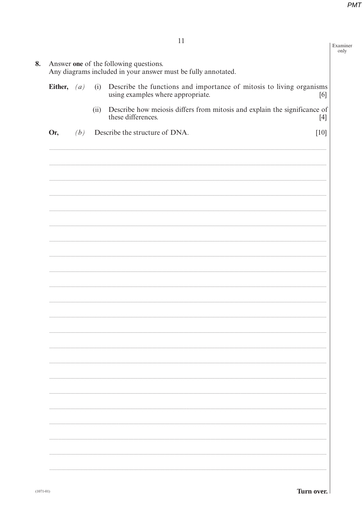Examiner<br>only

|               | Answer one of the following questions.<br>Any diagrams included in your answer must be fully annotated. |      |                                                                                                           |        |  |  |  |  |
|---------------|---------------------------------------------------------------------------------------------------------|------|-----------------------------------------------------------------------------------------------------------|--------|--|--|--|--|
| Either, $(a)$ |                                                                                                         | (i)  | Describe the functions and importance of mitosis to living organisms<br>using examples where appropriate. | [6]    |  |  |  |  |
|               |                                                                                                         | (ii) | Describe how meiosis differs from mitosis and explain the significance of<br>these differences.           |        |  |  |  |  |
| Or,           | (b)                                                                                                     |      | Describe the structure of DNA.                                                                            | $[10]$ |  |  |  |  |
|               |                                                                                                         |      |                                                                                                           |        |  |  |  |  |
|               |                                                                                                         |      |                                                                                                           |        |  |  |  |  |
|               |                                                                                                         |      |                                                                                                           |        |  |  |  |  |
|               |                                                                                                         |      |                                                                                                           |        |  |  |  |  |
|               |                                                                                                         |      |                                                                                                           |        |  |  |  |  |
|               |                                                                                                         |      |                                                                                                           |        |  |  |  |  |
|               |                                                                                                         |      |                                                                                                           |        |  |  |  |  |
|               |                                                                                                         |      |                                                                                                           |        |  |  |  |  |
|               |                                                                                                         |      |                                                                                                           |        |  |  |  |  |
|               |                                                                                                         |      |                                                                                                           |        |  |  |  |  |
|               |                                                                                                         |      |                                                                                                           |        |  |  |  |  |
|               |                                                                                                         |      |                                                                                                           |        |  |  |  |  |
|               |                                                                                                         |      |                                                                                                           |        |  |  |  |  |